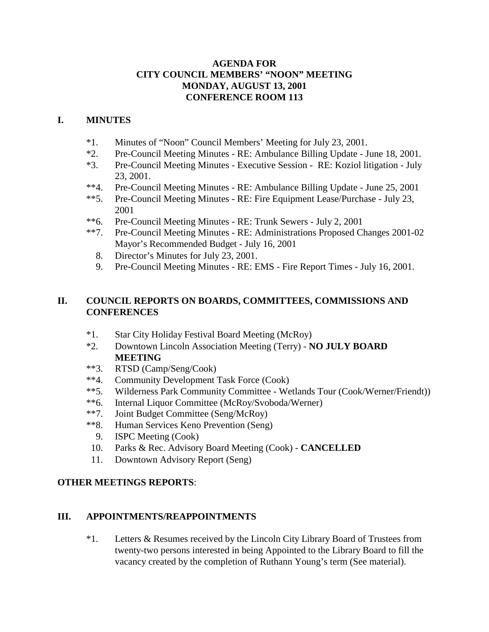## **AGENDA FOR CITY COUNCIL MEMBERS' "NOON" MEETING MONDAY, AUGUST 13, 2001 CONFERENCE ROOM 113**

## **I. MINUTES**

- \*1. Minutes of "Noon" Council Members' Meeting for July 23, 2001.
- \*2. Pre-Council Meeting Minutes RE: Ambulance Billing Update June 18, 2001.
- \*3. Pre-Council Meeting Minutes Executive Session RE: Koziol litigation July 23, 2001.
- \*\*4. Pre-Council Meeting Minutes RE: Ambulance Billing Update June 25, 2001
- \*\*5. Pre-Council Meeting Minutes RE: Fire Equipment Lease/Purchase July 23, 2001
- \*\*6. Pre-Council Meeting Minutes RE: Trunk Sewers July 2, 2001
- \*\*7. Pre-Council Meeting Minutes RE: Administrations Proposed Changes 2001-02 Mayor's Recommended Budget - July 16, 2001
	- 8. Director's Minutes for July 23, 2001.
	- 9. Pre-Council Meeting Minutes RE: EMS Fire Report Times July 16, 2001.

# **II. COUNCIL REPORTS ON BOARDS, COMMITTEES, COMMISSIONS AND CONFERENCES**

- \*1. Star City Holiday Festival Board Meeting (McRoy)
- \*2. Downtown Lincoln Association Meeting (Terry) **NO JULY BOARD MEETING**
- \*\*3. RTSD (Camp/Seng/Cook)
- \*\*4. Community Development Task Force (Cook)
- \*\*5. Wilderness Park Community Committee Wetlands Tour (Cook/Werner/Friendt))<br>\*\*6 Internal Liquor Committee (McRov/Svoboda/Werner)
- Internal Liquor Committee (McRoy/Svoboda/Werner)
- \*\*7. Joint Budget Committee (Seng/McRoy)
- \*\*8. Human Services Keno Prevention (Seng)
	- 9. ISPC Meeting (Cook)
- 10. Parks & Rec. Advisory Board Meeting (Cook) **CANCELLED**
- 11. Downtown Advisory Report (Seng)

# **OTHER MEETINGS REPORTS**:

#### **III. APPOINTMENTS/REAPPOINTMENTS**

\*1. Letters & Resumes received by the Lincoln City Library Board of Trustees from twenty-two persons interested in being Appointed to the Library Board to fill the vacancy created by the completion of Ruthann Young's term (See material).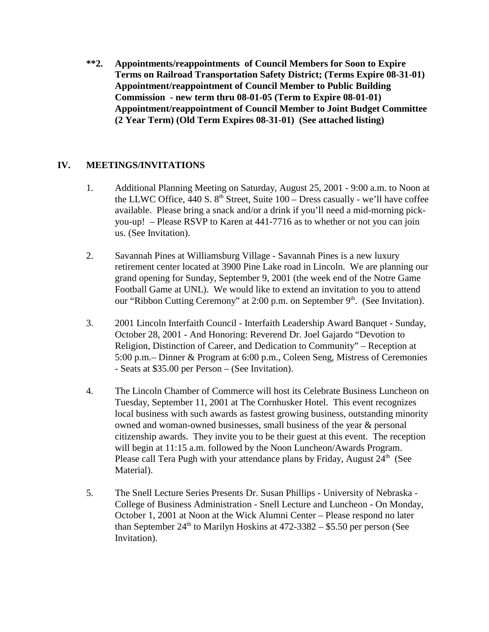**\*\*2. Appointments/reappointments of Council Members for Soon to Expire Terms on Railroad Transportation Safety District; (Terms Expire 08-31-01) Appointment/reappointment of Council Member to Public Building Commission - new term thru 08-01-05 (Term to Expire 08-01-01) Appointment/reappointment of Council Member to Joint Budget Committee (2 Year Term) (Old Term Expires 08-31-01) (See attached listing)**

# **IV. MEETINGS/INVITATIONS**

- 1. Additional Planning Meeting on Saturday, August 25, 2001 9:00 a.m. to Noon at the LLWC Office, 440 S.  $8<sup>th</sup>$  Street, Suite 100 – Dress casually - we'll have coffee available. Please bring a snack and/or a drink if you'll need a mid-morning pickyou-up! – Please RSVP to Karen at 441-7716 as to whether or not you can join us. (See Invitation).
- 2. Savannah Pines at Williamsburg Village Savannah Pines is a new luxury retirement center located at 3900 Pine Lake road in Lincoln. We are planning our grand opening for Sunday, September 9, 2001 (the week end of the Notre Game Football Game at UNL). We would like to extend an invitation to you to attend our "Ribbon Cutting Ceremony" at 2:00 p.m. on September  $9<sup>th</sup>$ . (See Invitation).
- 3. 2001 Lincoln Interfaith Council Interfaith Leadership Award Banquet Sunday, October 28, 2001 - And Honoring: Reverend Dr. Joel Gajardo "Devotion to Religion, Distinction of Career, and Dedication to Community" – Reception at 5:00 p.m.– Dinner & Program at 6:00 p.m., Coleen Seng, Mistress of Ceremonies - Seats at \$35.00 per Person – (See Invitation).
- 4. The Lincoln Chamber of Commerce will host its Celebrate Business Luncheon on Tuesday, September 11, 2001 at The Cornhusker Hotel. This event recognizes local business with such awards as fastest growing business, outstanding minority owned and woman-owned businesses, small business of the year & personal citizenship awards. They invite you to be their guest at this event. The reception will begin at 11:15 a.m. followed by the Noon Luncheon/Awards Program. Please call Tera Pugh with your attendance plans by Friday, August  $24<sup>th</sup>$  (See Material).
- 5. The Snell Lecture Series Presents Dr. Susan Phillips University of Nebraska College of Business Administration - Snell Lecture and Luncheon - On Monday, October 1, 2001 at Noon at the Wick Alumni Center – Please respond no later than September  $24<sup>th</sup>$  to Marilyn Hoskins at  $472-3382-\$5.50$  per person (See Invitation).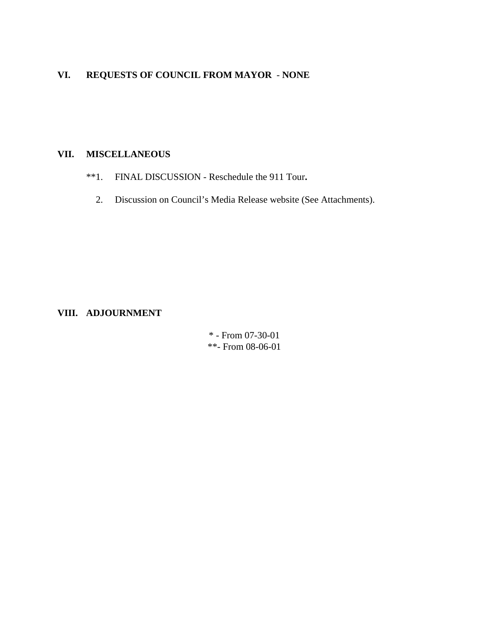# **VI. REQUESTS OF COUNCIL FROM MAYOR** - **NONE**

# **VII. MISCELLANEOUS**

- \*\*1. FINAL DISCUSSION Reschedule the 911 Tour**.** 
	- 2. Discussion on Council's Media Release website (See Attachments).

#### **VIII. ADJOURNMENT**

\* - From 07-30-01 \*\*- From 08-06-01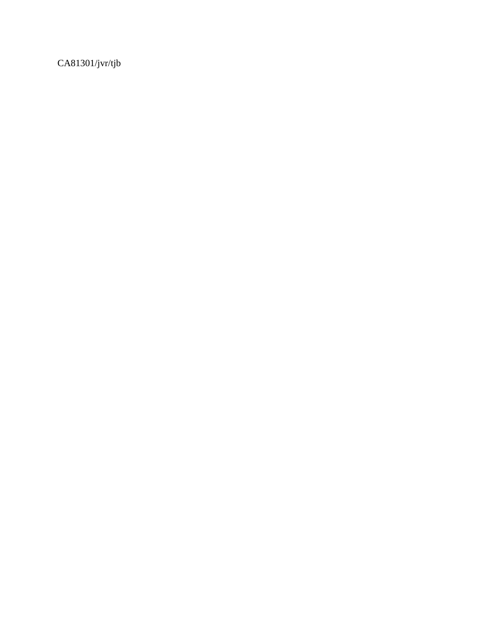CA81301/jvr/tjb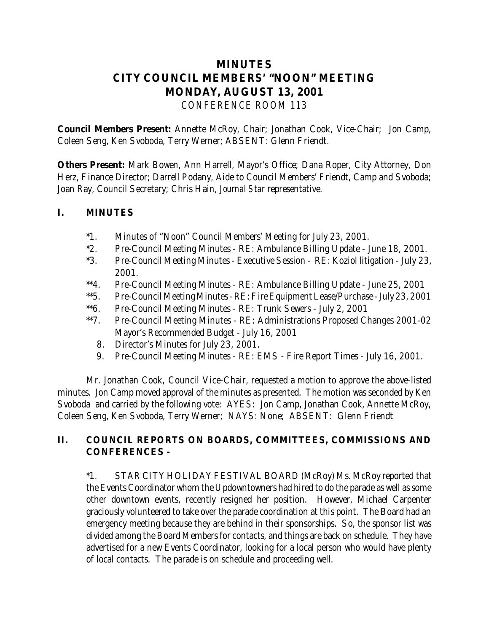# **MINUTES CITY COUNCIL MEMBERS' "NOON" MEETING MONDAY, AUGUST 13, 2001** *CONFERENCE ROOM 113*

**Council Members Present:** Annette McRoy, Chair; Jonathan Cook, Vice-Chair; Jon Camp, Coleen Seng, Ken Svoboda, Terry Werner; ABSENT: Glenn Friendt.

**Others Present:** Mark Bowen, Ann Harrell, Mayor's Office; Dana Roper, City Attorney, Don Herz, Finance Director; Darrell Podany, Aide to Council Members' Friendt, Camp and Svoboda; Joan Ray, Council Secretary; Chris Hain, *Journal Star* representative.

# **I. MINUTES**

- \*1. Minutes of "Noon" Council Members' Meeting for July 23, 2001.
- \*2. Pre-Council Meeting Minutes RE: Ambulance Billing Update June 18, 2001.
- \*3. Pre-Council Meeting Minutes Executive Session RE: Koziol litigation July 23, 2001.
- \*\*4. Pre-Council Meeting Minutes RE: Ambulance Billing Update June 25, 2001
- \*\*5. Pre-Council Meeting Minutes RE: Fire Equipment Lease/Purchase July 23, 2001
- \*\*6. Pre-Council Meeting Minutes RE: Trunk Sewers July 2, 2001
- \*\*7. Pre-Council Meeting Minutes RE: Administrations Proposed Changes 2001-02 Mayor's Recommended Budget - July 16, 2001
	- 8. Director's Minutes for July 23, 2001.
	- 9. Pre-Council Meeting Minutes RE: EMS Fire Report Times July 16, 2001.

 Mr. Jonathan Cook, Council Vice-Chair, requested a motion to approve the above-listed minutes. Jon Camp moved approval of the minutes as presented. The motion was seconded by Ken Svoboda and carried by the following vote: AYES: Jon Camp, Jonathan Cook, Annette McRoy, Coleen Seng, Ken Svoboda, Terry Werner; NAYS: None; ABSENT: Glenn Friendt

# **II. COUNCIL REPORTS ON BOARDS, COMMITTEES, COMMISSIONS AND CONFERENCES -**

\*1. STAR CITY HOLIDAY FESTIVAL BOARD (McRoy) Ms. McRoy reported that the Events Coordinator whom the Updowntowners had hired to do the parade as well as some other downtown events, recently resigned her position. However, Michael Carpenter graciously volunteered to take over the parade coordination at this point. The Board had an emergency meeting because they are behind in their sponsorships. So, the sponsor list was divided among the Board Members for contacts, and things are back on schedule. They have advertised for a new Events Coordinator, looking for a local person who would have plenty of local contacts. The parade is on schedule and proceeding well.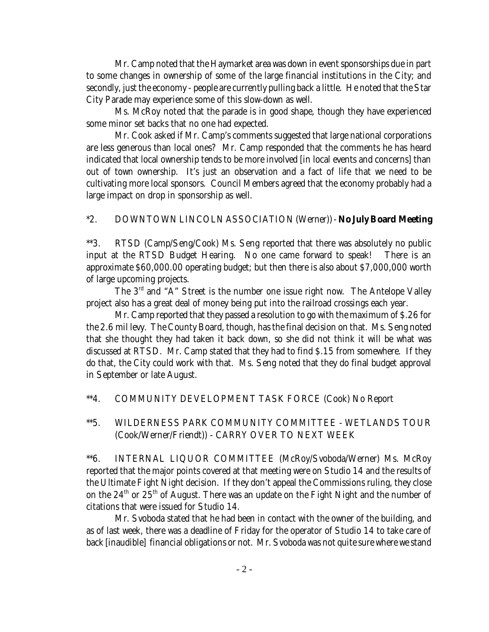Mr. Camp noted that the Haymarket area was down in event sponsorships due in part to some changes in ownership of some of the large financial institutions in the City; and secondly, just the economy - people are currently pulling back a little. He noted that the Star City Parade may experience some of this slow-down as well.

Ms. McRoy noted that the parade is in good shape, though they have experienced some minor set backs that no one had expected.

Mr. Cook asked if Mr. Camp's comments suggested that large national corporations are less generous than local ones? Mr. Camp responded that the comments he has heard indicated that local ownership tends to be more involved [in local events and concerns] than out of town ownership. It's just an observation and a fact of life that we need to be cultivating more local sponsors. Council Members agreed that the economy probably had a large impact on drop in sponsorship as well.

#### \*2. DOWNTOWN LINCOLN ASSOCIATION (Werner)) - **No July Board Meeting**

\*\*3. RTSD (Camp/Seng/Cook) Ms. Seng reported that there was absolutely no public input at the RTSD Budget Hearing. No one came forward to speak! There is an approximate \$60,000.00 operating budget; but then there is also about \$7,000,000 worth of large upcoming projects.

The 3rd and "A" Street is the number one issue right now. The Antelope Valley project also has a great deal of money being put into the railroad crossings each year.

Mr. Camp reported that they passed a resolution to go with the maximum of \$.26 for the 2.6 mil levy. The County Board, though, has the final decision on that. Ms. Seng noted that she thought they had taken it back down, so she did not think it will be what was discussed at RTSD. Mr. Camp stated that they had to find \$.15 from somewhere. If they do that, the City could work with that. Ms. Seng noted that they do final budget approval in September or late August.

\*\*4. COMMUNITY DEVELOPMENT TASK FORCE (Cook) No Report

# \*\*5. WILDERNESS PARK COMMUNITY COMMITTEE - WETLANDS TOUR (Cook/Werner/Friendt)) - CARRY OVER TO NEXT WEEK

\*\*6. INTERNAL LIQUOR COMMITTEE (McRoy/Svoboda/Werner) Ms. McRoy reported that the major points covered at that meeting were on Studio 14 and the results of the Ultimate Fight Night decision. If they don't appeal the Commissions ruling, they close on the  $24<sup>th</sup>$  or  $25<sup>th</sup>$  of August. There was an update on the Fight Night and the number of citations that were issued for Studio 14.

Mr. Svoboda stated that he had been in contact with the owner of the building, and as of last week, there was a deadline of Friday for the operator of Studio 14 to take care of back [inaudible] financial obligations or not. Mr. Svoboda was not quite sure where we stand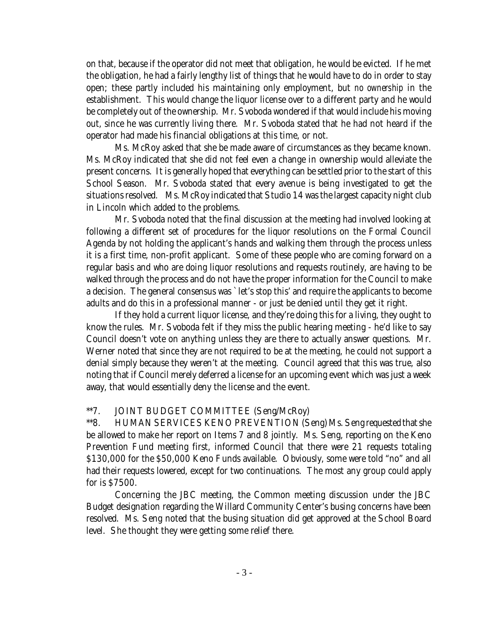on that, because if the operator did not meet that obligation, he would be evicted. If he met the obligation, he had a fairly lengthy list of things that he would have to do in order to stay open; these partly included his maintaining only employment, but *no ownership* in the establishment. This would change the liquor license over to a different party and he would be completely out of the ownership. Mr. Svoboda wondered if that would include his moving out, since he was currently living there. Mr. Svoboda stated that he had not heard if the operator had made his financial obligations at this time, or not.

Ms. McRoy asked that she be made aware of circumstances as they became known. Ms. McRoy indicated that she did not feel even a change in ownership would alleviate the present concerns. It is generally hoped that everything can be settled prior to the start of this School Season. Mr. Svoboda stated that every avenue is being investigated to get the situations resolved. Ms. McRoy indicated that Studio 14 was the largest capacity night club in Lincoln which added to the problems.

Mr. Svoboda noted that the final discussion at the meeting had involved looking at following a different set of procedures for the liquor resolutions on the Formal Council Agenda by not holding the applicant's hands and walking them through the process unless it is a first time, non-profit applicant. Some of these people who are coming forward on a regular basis and who are doing liquor resolutions and requests routinely, are having to be walked through the process and do not have the proper information for the Council to make a decision. The general consensus was `let's stop this' and require the applicants to become adults and do this in a professional manner - or just be denied until they get it right.

If they hold a current liquor license, and they're doing this for a living, they ought to know the rules. Mr. Svoboda felt if they miss the public hearing meeting - he'd like to say Council doesn't vote on anything unless they are there to actually answer questions. Mr. Werner noted that since they are not required to be at the meeting, he could not support a denial simply because they weren't at the meeting. Council agreed that this was true, also noting that if Council merely deferred a license for an upcoming event which was just a week away, that would essentially deny the license and the event.

#### \*\*7. JOINT BUDGET COMMITTEE (Seng/McRoy)

\*\*8. HUMAN SERVICES KENO PREVENTION (Seng) Ms. Seng requested that she be allowed to make her report on Items 7 and 8 jointly. Ms. Seng, reporting on the Keno Prevention Fund meeting first, informed Council that there were 21 requests totaling \$130,000 for the \$50,000 Keno Funds available. Obviously, some were told "no" and all had their requests lowered, except for two continuations. The most any group could apply for is \$7500.

Concerning the JBC meeting, the Common meeting discussion under the JBC Budget designation regarding the Willard Community Center's busing concerns have been resolved. Ms. Seng noted that the busing situation did get approved at the School Board level. She thought they were getting some relief there.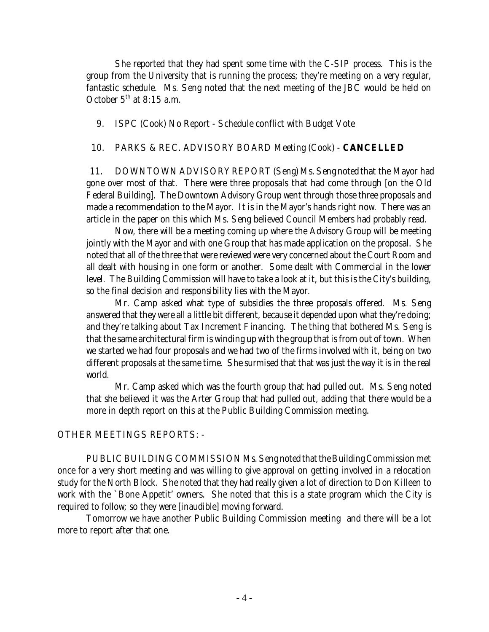She reported that they had spent some time with the C-SIP process. This is the group from the University that is running the process; they're meeting on a very regular, fantastic schedule. Ms. Seng noted that the next meeting of the JBC would be held on October  $5<sup>th</sup>$  at 8:15 a.m.

9. ISPC (Cook) No Report - Schedule conflict with Budget Vote

#### 10. PARKS & REC. ADVISORY BOARD Meeting (Cook) - **CANCELLED**

11. DOWNTOWN ADVISORY REPORT (Seng) Ms. Seng noted that the Mayor had gone over most of that. There were three proposals that had come through [on the Old Federal Building]. The Downtown Advisory Group went through those three proposals and made a recommendation to the Mayor. It is in the Mayor's hands right now. There was an article in the paper on this which Ms. Seng believed Council Members had probably read.

Now, there will be a meeting coming up where the Advisory Group will be meeting jointly with the Mayor and with one Group that has made application on the proposal. She noted that all of the three that were reviewed were very concerned about the Court Room and all dealt with housing in one form or another. Some dealt with Commercial in the lower level. The Building Commission will have to take a look at it, but this is the City's building, so the final decision and responsibility lies with the Mayor.

Mr. Camp asked what type of subsidies the three proposals offered. Ms. Seng answered that they were all a little bit different, because it depended upon what they're doing; and they're talking about Tax Increment Financing. The thing that bothered Ms. Seng is that the same architectural firm is winding up with the group that is from out of town. When we started we had four proposals and we had two of the firms involved with it, being on two different proposals at the same time. She surmised that that was just the way it is in the real world.

Mr. Camp asked which was the fourth group that had pulled out. Ms. Seng noted that she believed it was the Arter Group that had pulled out, adding that there would be a more in depth report on this at the Public Building Commission meeting.

#### OTHER MEETINGS REPORTS: -

PUBLIC BUILDING COMMISSION Ms. Seng noted that the Building Commission met once for a very short meeting and was willing to give approval on getting involved in a relocation study for the North Block. She noted that they had really given a lot of direction to Don Killeen to work with the `Bone Appetit' owners. She noted that this is a state program which the City is required to follow; so they were [inaudible] moving forward.

Tomorrow we have another Public Building Commission meeting and there will be a lot more to report after that one.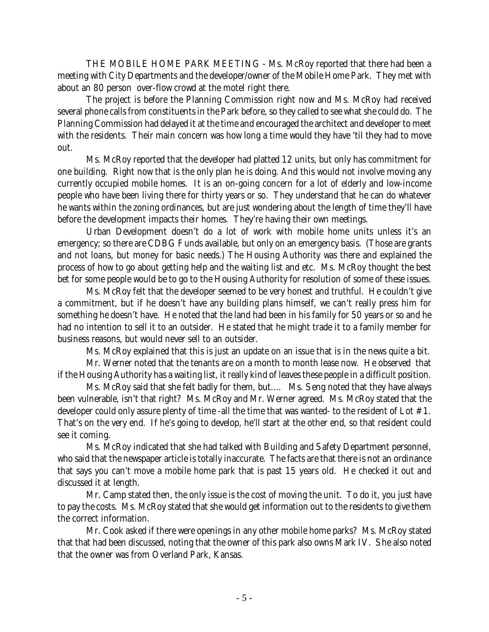THE MOBILE HOME PARK MEETING - Ms. McRoy reported that there had been a meeting with City Departments and the developer/owner of the Mobile Home Park. They met with about an 80 person over-flow crowd at the motel right there.

The project is before the Planning Commission right now and Ms. McRoy had received several phone calls from constituents in the Park before, so they called to see what she could do. The Planning Commission had delayed it at the time and encouraged the architect and developer to meet with the residents. Their main concern was how long a time would they have 'til they had to move out.

Ms. McRoy reported that the developer had platted 12 units, but only has commitment for one building. Right now that is the only plan he is doing. And this would not involve moving any currently occupied mobile homes. It is an on-going concern for a lot of elderly and low-income people who have been living there for thirty years or so. They understand that he can do whatever he wants within the zoning ordinances, but are just wondering about the length of time they'll have before the development impacts their homes. They're having their own meetings.

Urban Development doesn't do a lot of work with mobile home units unless it's an emergency; so there are CDBG Funds available, but only on an emergency basis. (Those are grants and not loans, but money for basic needs.) The Housing Authority was there and explained the process of how to go about getting help and the waiting list and etc. Ms. McRoy thought the best bet for some people would be to go to the Housing Authority for resolution of some of these issues.

Ms. McRoy felt that the developer seemed to be very honest and truthful. He couldn't give a commitment, but if he doesn't have any building plans himself, we can't really press him for something he doesn't have. He noted that the land had been in his family for 50 years or so and he had no intention to sell it to an outsider. He stated that he might trade it to a family member for business reasons, but would never sell to an outsider.

Ms. McRoy explained that this is just an update on an issue that is in the news quite a bit.

Mr. Werner noted that the tenants are on a month to month lease now. He observed that if the Housing Authority has a waiting list, it really kind of leaves these people in a difficult position.

Ms. McRoy said that she felt badly for them, but.... Ms. Seng noted that they have always been vulnerable, isn't that right? Ms. McRoy and Mr. Werner agreed. Ms. McRoy stated that the developer could only assure plenty of time -all the time that was wanted- to the resident of Lot #1. That's on the very end. If he's going to develop, he'll start at the other end, so that resident could see it coming.

Ms. McRoy indicated that she had talked with Building and Safety Department personnel, who said that the newspaper article is totally inaccurate. The facts are that there is not an ordinance that says you can't move a mobile home park that is past 15 years old. He checked it out and discussed it at length.

Mr. Camp stated then, the only issue is the cost of moving the unit. To do it, you just have to pay the costs. Ms. McRoy stated that she would get information out to the residents to give them the correct information.

Mr. Cook asked if there were openings in any other mobile home parks? Ms. McRoy stated that that had been discussed, noting that the owner of this park also owns Mark IV. She also noted that the owner was from Overland Park, Kansas.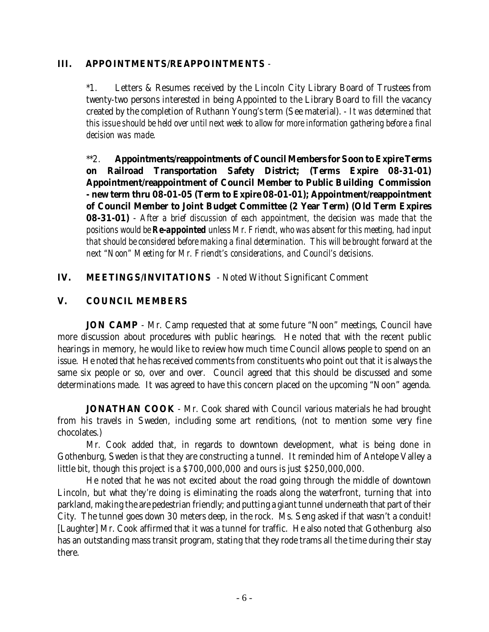## **III. APPOINTMENTS/REAPPOINTMENTS** -

\*1. Letters & Resumes received by the Lincoln City Library Board of Trustees from twenty-two persons interested in being Appointed to the Library Board to fill the vacancy created by the completion of Ruthann Young's term (See material). - *It was determined that this issue should be held over until next week to allow for more information gathering before a final decision was made.*

\*\*2. **Appointments/reappointments of Council Members for Soon to Expire Terms on Railroad Transportation Safety District; (Terms Expire 08-31-01) Appointment/reappointment of Council Member to Public Building Commission - new term thru 08-01-05 (Term to Expire 08-01-01); Appointment/reappointment of Council Member to Joint Budget Committee (2 Year Term) (Old Term Expires 08-31-01)** - *After a brief discussion of each appointment, the decision was made that the positions would be Re-appointed unless Mr. Friendt, who was absent for this meeting, had input that should be considered before making a final determination. This will be brought forward at the next "Noon" Meeting for Mr. Friendt's considerations, and Council's decisions.*

# **IV. MEETINGS/INVITATIONS** - Noted Without Significant Comment

# **V. COUNCIL MEMBERS**

**JON CAMP** - Mr. Camp requested that at some future "Noon" meetings, Council have more discussion about procedures with public hearings. He noted that with the recent public hearings in memory, he would like to review how much time Council allows people to spend on an issue. He noted that he has received comments from constituents who point out that it is always the same six people or so, over and over. Council agreed that this should be discussed and some determinations made. It was agreed to have this concern placed on the upcoming "Noon" agenda.

**JONATHAN COOK** - Mr. Cook shared with Council various materials he had brought from his travels in Sweden, including some art renditions, (not to mention some very fine chocolates.)

Mr. Cook added that, in regards to downtown development, what is being done in Gothenburg, Sweden is that they are constructing a tunnel. It reminded him of Antelope Valley a little bit, though this project is a \$700,000,000 and ours is just \$250,000,000.

He noted that he was not excited about the road going through the middle of downtown Lincoln, but what *they're* doing is eliminating the roads along the waterfront, turning that into parkland, making the are pedestrian friendly; and putting a giant tunnel underneath that part of their City. The tunnel goes down 30 meters deep, in the rock. Ms. Seng asked if that wasn't a conduit! [Laughter] Mr. Cook affirmed that it was a tunnel for traffic. He also noted that Gothenburg also has an outstanding mass transit program, stating that they rode trams all the time during their stay there.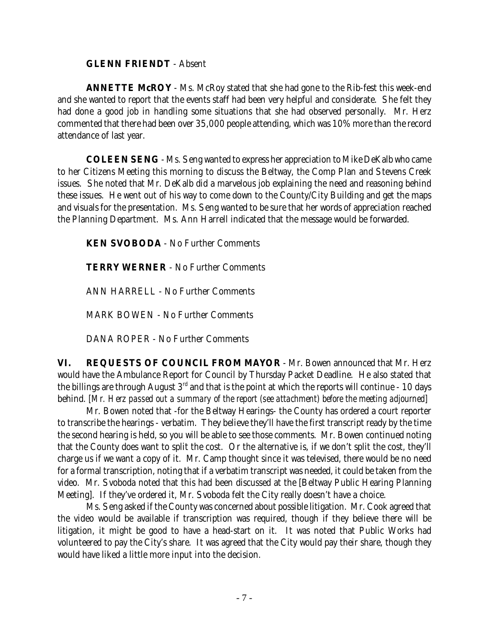#### **GLENN FRIENDT** - Absent

**ANNETTE McROY** - Ms. McRoy stated that she had gone to the Rib-fest this week-end and she wanted to report that the events staff had been very helpful and considerate. She felt they had done a good job in handling some situations that she had observed personally. Mr. Herz commented that there had been over 35,000 people attending, which was 10% more than the record attendance of last year.

**COLEEN SENG** - Ms. Seng wanted to express her appreciation to Mike DeKalb who came to her Citizens Meeting this morning to discuss the Beltway, the Comp Plan and Stevens Creek issues. She noted that Mr. DeKalb did a marvelous job explaining the need and reasoning behind these issues. He went out of his way to come down to the County/City Building and get the maps and visuals for the presentation. Ms. Seng wanted to be sure that her words of appreciation reached the Planning Department. Ms. Ann Harrell indicated that the message would be forwarded.

**KEN SVOBODA** - No Further Comments

**TERRY WERNER** - No Further Comments

ANN HARRELL - No Further Comments

MARK BOWEN - No Further Comments

DANA ROPER - No Further Comments

**VI. REQUESTS OF COUNCIL FROM MAYOR** - Mr. Bowen announced that Mr. Herz would have the Ambulance Report for Council by Thursday Packet Deadline. He also stated that the billings are through August 3<sup>rd</sup> and that is the point at which the reports will continue - 10 days behind. *[Mr. Herz passed out a summary of the report (see attachment) before the meeting adjourned]*

Mr. Bowen noted that -for the Beltway Hearings- the County has ordered a court reporter to transcribe the hearings - verbatim. They believe they'll have the first transcript ready by the time the second hearing is held, so you will be able to see those comments. Mr. Bowen continued noting that the County does want to split the cost. Or the alternative is, if we don't split the cost, they'll charge us if we want a copy of it. Mr. Camp thought since it was televised, there would be no need for a formal transcription, noting that if a verbatim transcript was needed, it could be taken from the video. Mr. Svoboda noted that this had been discussed at the [Beltway Public Hearing Planning Meeting]. If they've ordered it, Mr. Svoboda felt the City really doesn't have a choice.

Ms. Seng asked if the County was concerned about possible litigation. Mr. Cook agreed that the video would be available if transcription was required, though if they believe there will be litigation, it might be good to have a head-start on it. It was noted that Public Works had volunteered to pay the City's share. It was agreed that the City would pay their share, though they would have liked a little more input into the decision.